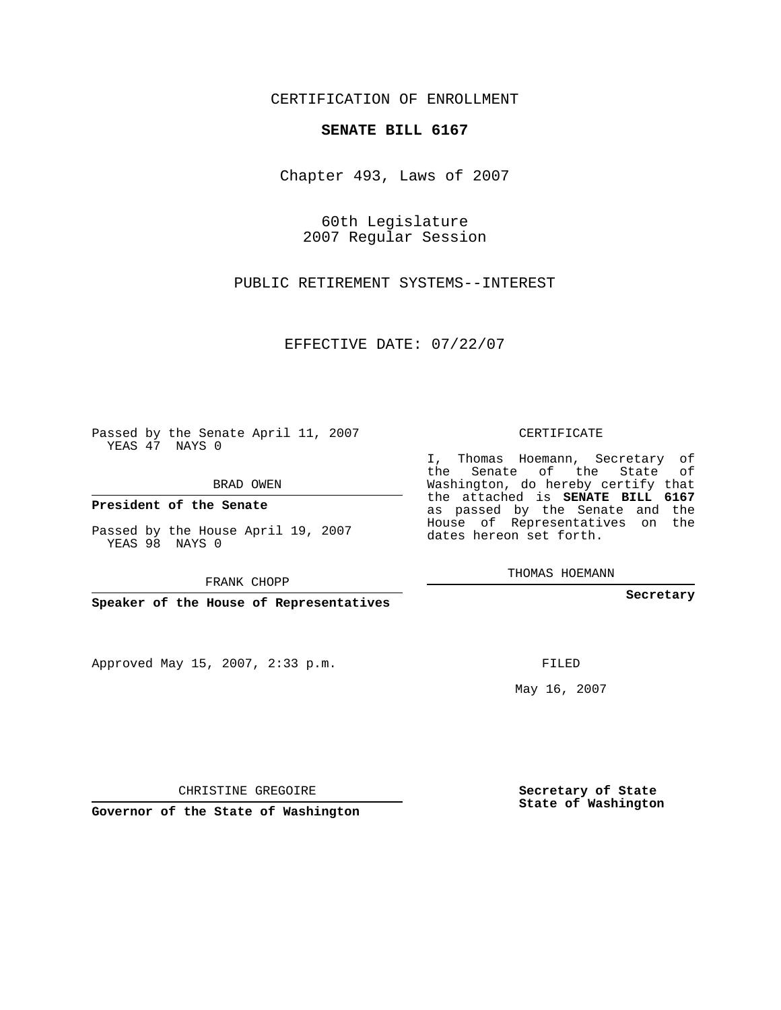CERTIFICATION OF ENROLLMENT

## **SENATE BILL 6167**

Chapter 493, Laws of 2007

60th Legislature 2007 Regular Session

PUBLIC RETIREMENT SYSTEMS--INTEREST

EFFECTIVE DATE: 07/22/07

Passed by the Senate April 11, 2007 YEAS 47 NAYS 0

BRAD OWEN

**President of the Senate**

Passed by the House April 19, 2007 YEAS 98 NAYS 0

FRANK CHOPP

**Speaker of the House of Representatives**

Approved May 15, 2007, 2:33 p.m.

CERTIFICATE

I, Thomas Hoemann, Secretary of the Senate of the State of Washington, do hereby certify that the attached is **SENATE BILL 6167** as passed by the Senate and the House of Representatives on the dates hereon set forth.

THOMAS HOEMANN

**Secretary**

FILED

May 16, 2007

**Secretary of State State of Washington**

CHRISTINE GREGOIRE

**Governor of the State of Washington**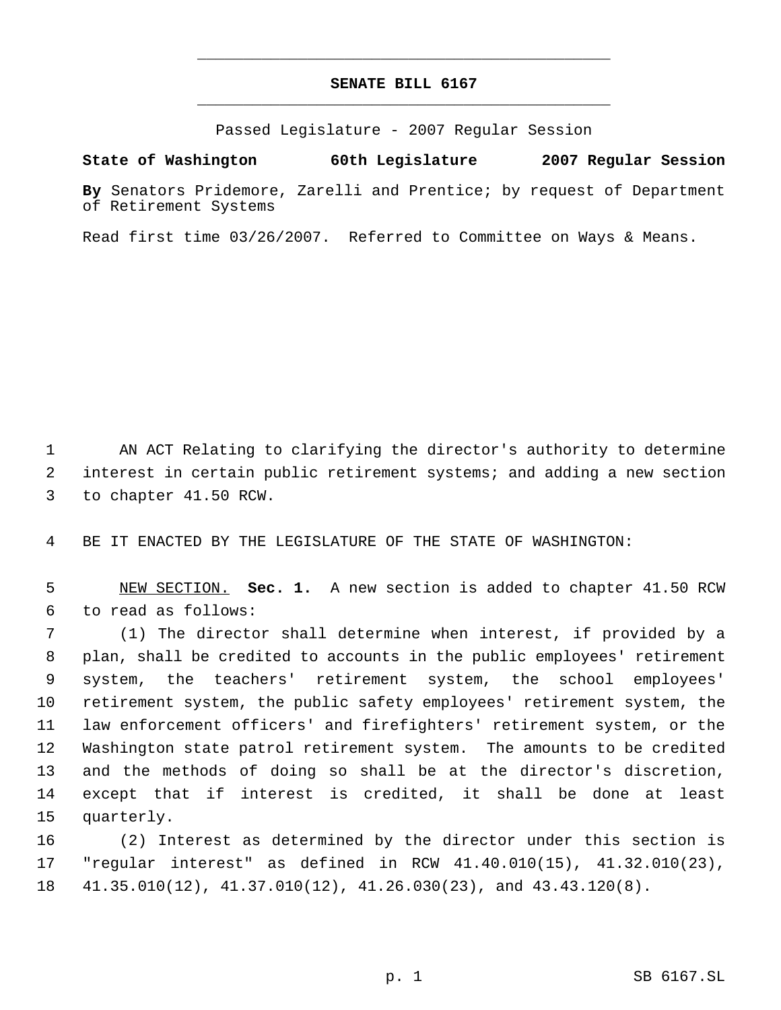## **SENATE BILL 6167** \_\_\_\_\_\_\_\_\_\_\_\_\_\_\_\_\_\_\_\_\_\_\_\_\_\_\_\_\_\_\_\_\_\_\_\_\_\_\_\_\_\_\_\_\_

\_\_\_\_\_\_\_\_\_\_\_\_\_\_\_\_\_\_\_\_\_\_\_\_\_\_\_\_\_\_\_\_\_\_\_\_\_\_\_\_\_\_\_\_\_

Passed Legislature - 2007 Regular Session

**State of Washington 60th Legislature 2007 Regular Session**

**By** Senators Pridemore, Zarelli and Prentice; by request of Department of Retirement Systems

Read first time 03/26/2007. Referred to Committee on Ways & Means.

 AN ACT Relating to clarifying the director's authority to determine interest in certain public retirement systems; and adding a new section to chapter 41.50 RCW.

BE IT ENACTED BY THE LEGISLATURE OF THE STATE OF WASHINGTON:

 NEW SECTION. **Sec. 1.** A new section is added to chapter 41.50 RCW to read as follows:

 (1) The director shall determine when interest, if provided by a plan, shall be credited to accounts in the public employees' retirement system, the teachers' retirement system, the school employees' retirement system, the public safety employees' retirement system, the law enforcement officers' and firefighters' retirement system, or the Washington state patrol retirement system. The amounts to be credited and the methods of doing so shall be at the director's discretion, except that if interest is credited, it shall be done at least quarterly.

 (2) Interest as determined by the director under this section is "regular interest" as defined in RCW 41.40.010(15), 41.32.010(23), 41.35.010(12), 41.37.010(12), 41.26.030(23), and 43.43.120(8).